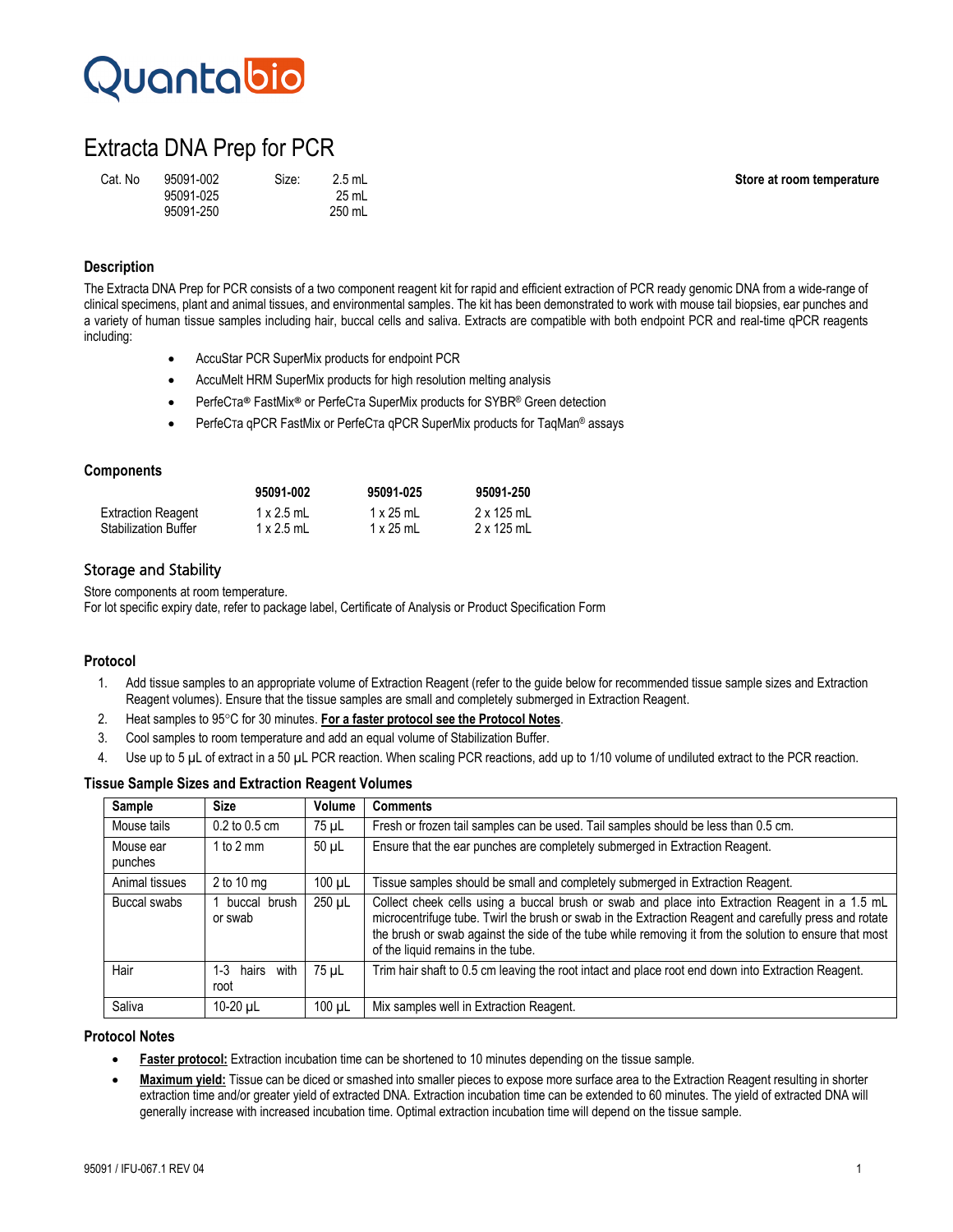# Quantabio

# Extracta DNA Prep for PCR

| Cat. No | 95091-002 | Size: | $2.5$ mL |
|---------|-----------|-------|----------|
|         | 95091-025 |       | 25 mL    |
|         | 95091-250 |       | 250 mL   |

**Store at room temperature** 

### **Description**

The Extracta DNA Prep for PCR consists of a two component reagent kit for rapid and efficient extraction of PCR ready genomic DNA from a wide-range of clinical specimens, plant and animal tissues, and environmental samples. The kit has been demonstrated to work with mouse tail biopsies, ear punches and a variety of human tissue samples including hair, buccal cells and saliva. Extracts are compatible with both endpoint PCR and real-time qPCR reagents including:

- AccuStar PCR SuperMix products for endpoint PCR
- AccuMelt HRM SuperMix products for high resolution melting analysis
- PerfeCTa® FastMix® or PerfeCTa SuperMix products for SYBR® Green detection
- PerfeCTa qPCR FastMix or PerfeCTa qPCR SuperMix products for TaqMan® assays

#### **Components**

|                             | 95091-002         | 95091-025        | 95091-250         |
|-----------------------------|-------------------|------------------|-------------------|
| <b>Extraction Reagent</b>   | $1 \times 2.5$ mL | $1 \times 25$ mL | $2 \times 125$ mL |
| <b>Stabilization Buffer</b> | $1 \times 2.5$ mL | $1 \times 25$ mL | 2 x 125 mL        |

## Storage and Stability

Store components at room temperature.

For lot specific expiry date, refer to package label, Certificate of Analysis or Product Specification Form

### **Protocol**

- 1. Add tissue samples to an appropriate volume of Extraction Reagent (refer to the guide below for recommended tissue sample sizes and Extraction Reagent volumes). Ensure that the tissue samples are small and completely submerged in Extraction Reagent.
- 2. Heat samples to 95°C for 30 minutes. **For a faster protocol see the Protocol Notes**.
- 3. Cool samples to room temperature and add an equal volume of Stabilization Buffer.
- 4. Use up to 5 µL of extract in a 50 µL PCR reaction. When scaling PCR reactions, add up to 1/10 volume of undiluted extract to the PCR reaction.

|  |  |  |  | <b>Tissue Sample Sizes and Extraction Reagent Volumes</b> |  |  |
|--|--|--|--|-----------------------------------------------------------|--|--|
|--|--|--|--|-----------------------------------------------------------|--|--|

| Sample               | <b>Size</b>                  | Volume      | <b>Comments</b>                                                                                                                                                                                                                                                                                                                                          |
|----------------------|------------------------------|-------------|----------------------------------------------------------------------------------------------------------------------------------------------------------------------------------------------------------------------------------------------------------------------------------------------------------------------------------------------------------|
| Mouse tails          | $0.2$ to $0.5$ cm            | 75 µL       | Fresh or frozen tail samples can be used. Tail samples should be less than 0.5 cm.                                                                                                                                                                                                                                                                       |
| Mouse ear<br>punches | 1 to 2 mm                    | 50 µL       | Ensure that the ear punches are completely submerged in Extraction Reagent.                                                                                                                                                                                                                                                                              |
| Animal tissues       | $2$ to 10 mg                 | $100 \mu L$ | Tissue samples should be small and completely submerged in Extraction Reagent.                                                                                                                                                                                                                                                                           |
| Buccal swabs         | buccal brush<br>or swab      | $250 \mu L$ | Collect cheek cells using a buccal brush or swab and place into Extraction Reagent in a 1.5 mL<br>microcentrifuge tube. Twirl the brush or swab in the Extraction Reagent and carefully press and rotate<br>the brush or swab against the side of the tube while removing it from the solution to ensure that most<br>of the liquid remains in the tube. |
| Hair                 | with<br>1-3<br>hairs<br>root | 75 uL       | Trim hair shaft to 0.5 cm leaving the root intact and place root end down into Extraction Reagent.                                                                                                                                                                                                                                                       |
| Saliva               | 10-20 µL                     | $100 \mu L$ | Mix samples well in Extraction Reagent.                                                                                                                                                                                                                                                                                                                  |

#### **Protocol Notes**

- **Faster protocol:** Extraction incubation time can be shortened to 10 minutes depending on the tissue sample.
- **Maximum yield:** Tissue can be diced or smashed into smaller pieces to expose more surface area to the Extraction Reagent resulting in shorter extraction time and/or greater yield of extracted DNA. Extraction incubation time can be extended to 60 minutes. The yield of extracted DNA will generally increase with increased incubation time. Optimal extraction incubation time will depend on the tissue sample.